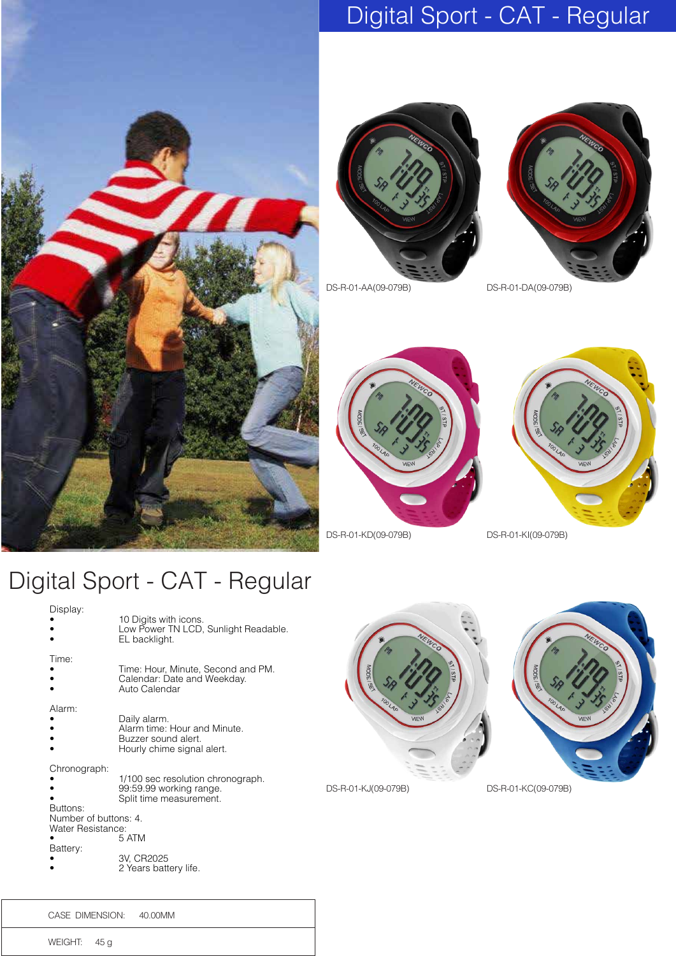

## Digital Sport - CAT - Regular





DS-R-01-AA(09-079B) DS-R-01-DA(09-079B)





#### Digital Sport - CAT - Regular

| Display:                                   | 10 Digits with icons.<br>Low Power TN LCD, Sunlight Readable.<br>EL backlight.                    |                  |
|--------------------------------------------|---------------------------------------------------------------------------------------------------|------------------|
| Time:                                      | Time: Hour, Minute, Second and PM.<br>Calendar: Date and Weekday.<br>Auto Calendar                | <b>MODE I SE</b> |
| Alarm:                                     | Daily alarm.<br>Alarm time: Hour and Minute.<br>Buzzer sound alert.<br>Hourly chime signal alert. |                  |
| Chronograph:<br>Buttons:                   | 1/100 sec resolution chronograph.<br>99:59.99 working range.<br>Split time measurement.           | DS-R-01-KJ(      |
| Number of buttons: 4.<br>Water Resistance: |                                                                                                   |                  |
| Battery:                                   | 5 ATM                                                                                             |                  |
|                                            | 3V, CR2025<br>2 Years battery life.                                                               |                  |
|                                            |                                                                                                   |                  |





(09-079B) DS-R-01-KC(09-079B)

CASE DIMENSION: 40.00MM

WEIGHT: 45 g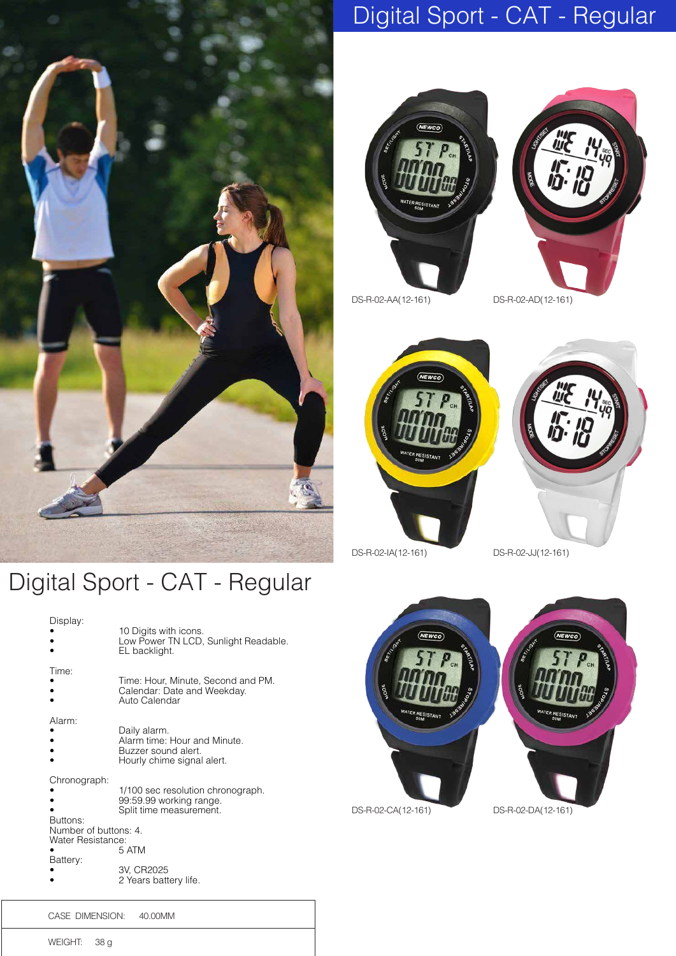

# Digital Sport - CAT - Regular





DS-R-02-AA(12-161) DS-R-02-AD(12-161)





DS-R-02-IA(12-161) DS-R-02-JJ(12-161)



#### Digital Sport - CAT - Regular

| Display:                                                                           | 10 Digits with icons.<br>Low Power TN LCD, Sunlight Readable.<br>EL backlight.                                                          |
|------------------------------------------------------------------------------------|-----------------------------------------------------------------------------------------------------------------------------------------|
| Time:                                                                              | Time: Hour, Minute, Second and PM.<br>Calendar: Date and Weekday.<br>Auto Calendar                                                      |
| Alarm:                                                                             | Daily alarm.<br>Alarm time: Hour and Minute.<br>Buzzer sound alert.<br>Hourly chime signal alert.                                       |
| Chronograph:<br>Buttons:<br>Number of buttons: 4.<br>Water Resistance:<br>Battery: | 1/100 sec resolution chronograph.<br>99:59.99 working range.<br>Split time measurement.<br>5 ATM<br>3V, CR2025<br>2 Years battery life. |

CASE DIMENSION: 40.00MM